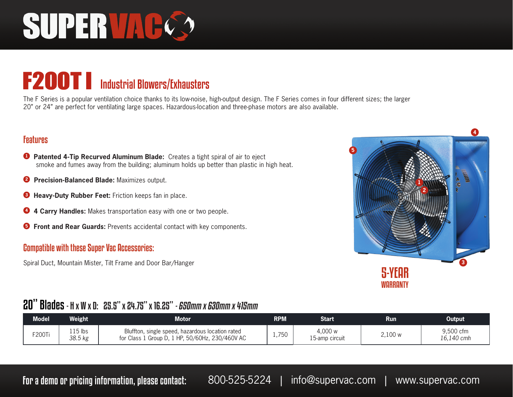# SUPERVAC

### F200T Industrial Blowers/Exhausters

The F Series is a popular ventilation choice thanks to its low-noise, high-output design. The F Series comes in four different sizes; the larger 20" or 24" are perfect for ventilating large spaces. Hazardous-location and three-phase motors are also available.

#### Features

- **<sup>1</sup> Patented 4-Tip Recurved Aluminum Blade:** Creates a tight spiral of air to eject smoke and fumes away from the building; aluminum holds up better than plastic in high heat.
- **2 Precision-Balanced Blade:** Maximizes output.
- **<sup>3</sup> Heavy-Duty Rubber Feet:** Friction keeps fan in place.
- **<sup>4</sup> 4 Carry Handles:** Makes transportation easy with one or two people.
- **<sup>5</sup> Front and Rear Guards:** Prevents accidental contact with key components.

#### Compatible with these Super Vac Accessories:

Spiral Duct, Mountain Mister, Tilt Frame and Door Bar/Hanger



#### 20" Blades - H x W x D: 25.5" x 24.75" x 16.25" - 650mm x 630mm x 415mm

| <b>Model</b> | <b>Neight</b>      | Motor.                                                                                              | <b>RPM</b> | Start                      | Run     | Output                  |
|--------------|--------------------|-----------------------------------------------------------------------------------------------------|------------|----------------------------|---------|-------------------------|
| F200Ti       | 115 lbs<br>38.5 kg | Bluffton, single speed, hazardous location rated<br>for Class 1 Group D, 1 HP, 50/60Hz, 230/460V AC | 1,750      | 4,000 w<br>l 5-amp circuit | 2,100 w | 9,500 cfm<br>16,140 cmh |

For a demo or pricing information, please contact: 800-525-5224 | info@supervac.com | www.supervac.com